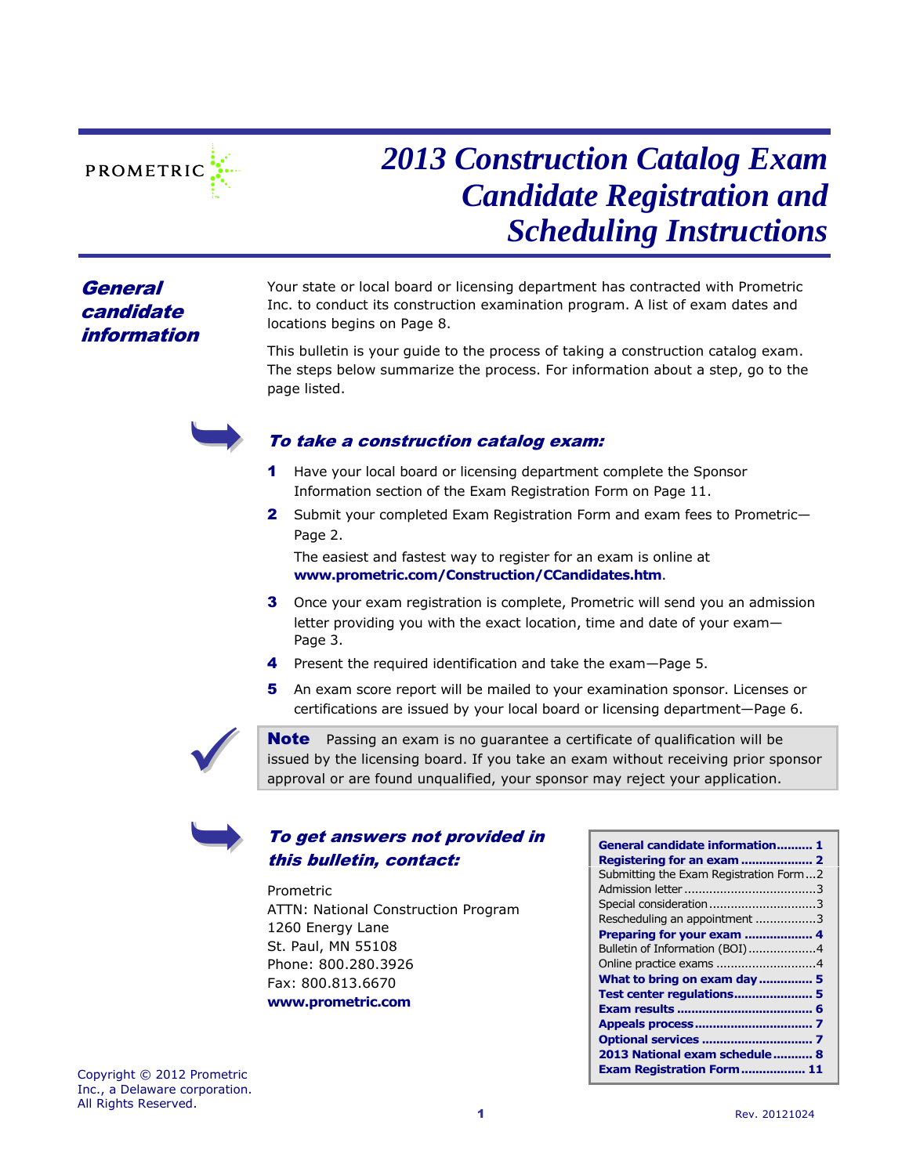

# *2013 Construction Catalog Exam Candidate Registration and Scheduling Instructions*

# **General** candidate information

Your state or local board or licensing department has contracted with Prometric Inc. to conduct its construction examination program. A list of exam dates and locations begins on Page [8.](#page-7-0)

This bulletin is your guide to the process of taking a construction catalog exam. The steps below summarize the process. For information about a step, go to the page listed.



# To take a construction catalog exam:

- 1 Have your local board or licensing department complete the Sponsor Information section of the Exam Registration Form on Page 11.
- 2 Submit your completed Exam Registration Form and exam fees to Prometric-Page [2.](#page-1-0)

The easiest and fastest way to register for an exam is online at **www.prometric.com/Construction/CCandidates.htm**.

- **3** Once your exam registration is complete, Prometric will send you an admission letter providing you with the exact location, time and date of your exam— Page [3.](#page-2-0)
- 4 Present the required identification and take the exam—Page [5.](#page-4-0)
- 5 An exam score report will be mailed to your examination sponsor. Licenses or certifications are issued by your local board or licensing department—Page [6.](#page-5-0)



**Note** Passing an exam is no quarantee a certificate of qualification will be issued by the licensing board. If you take an exam without receiving prior sponsor approval or are found unqualified, your sponsor may reject your application.

# To get answers not provided in this bulletin, contact:

Prometric ATTN: National Construction Program 1260 Energy Lane St. Paul, MN 55108 Phone: 800.280.3926 Fax: 800.813.6670 **www.prometric.com**

| General candidate information 1<br>Submitting the Exam Registration Form2<br>Special consideration3<br>Rescheduling an appointment 3<br>Preparing for your exam  4 |
|--------------------------------------------------------------------------------------------------------------------------------------------------------------------|
| Bulletin of Information (BOI)4                                                                                                                                     |
|                                                                                                                                                                    |
| What to bring on exam day  5                                                                                                                                       |
| Test center regulations 5                                                                                                                                          |
|                                                                                                                                                                    |
|                                                                                                                                                                    |
|                                                                                                                                                                    |
| 2013 National exam schedule 8                                                                                                                                      |
| Exam Registration Form 11                                                                                                                                          |

Copyright © 2012 Prometric Inc., a Delaware corporation. All Rights Reserved.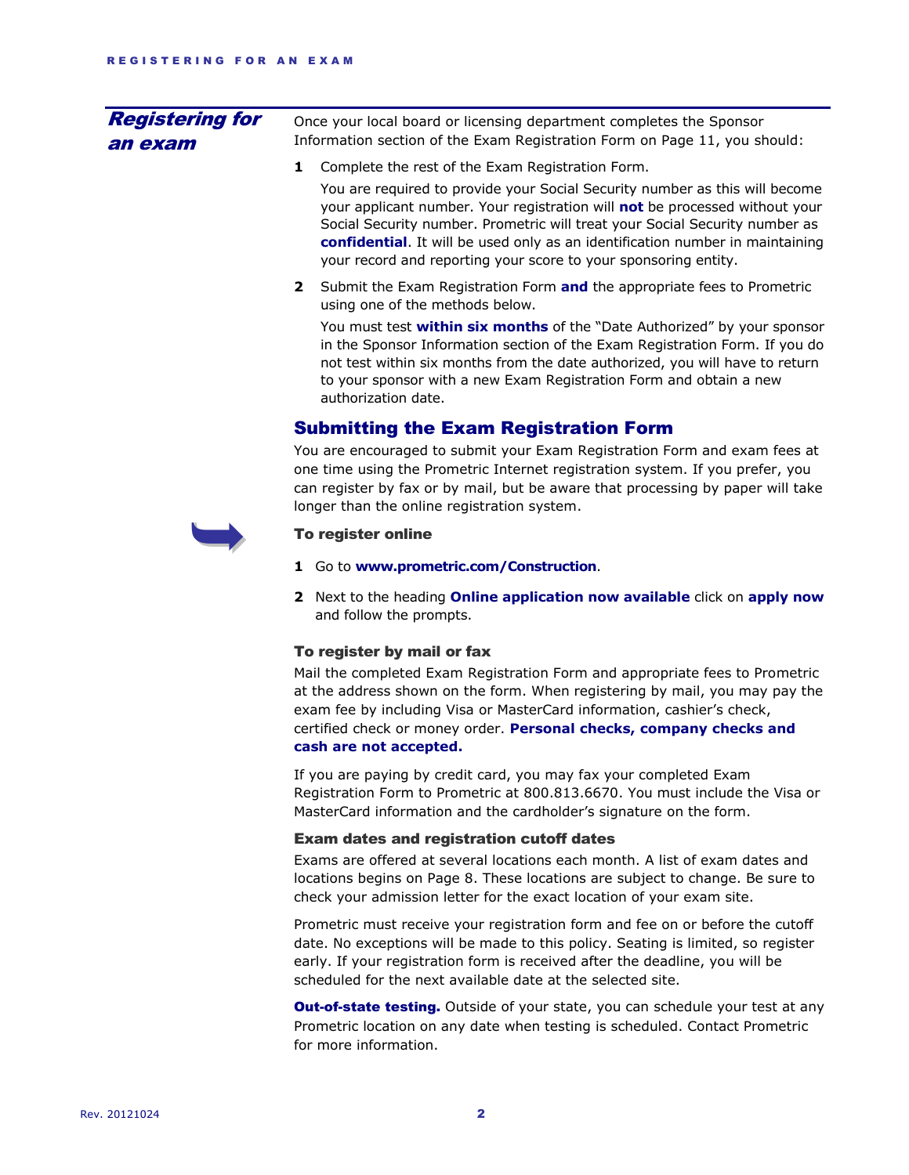| <b>Registering for</b><br>an exam | Once your local board or licensing department completes the Sponsor<br>Information section of the Exam Registration Form on Page 11, you should:                                                                                                                                                                                                                                              |  |  |  |  |  |
|-----------------------------------|-----------------------------------------------------------------------------------------------------------------------------------------------------------------------------------------------------------------------------------------------------------------------------------------------------------------------------------------------------------------------------------------------|--|--|--|--|--|
|                                   | 1<br>Complete the rest of the Exam Registration Form.                                                                                                                                                                                                                                                                                                                                         |  |  |  |  |  |
|                                   | You are required to provide your Social Security number as this will become<br>your applicant number. Your registration will not be processed without your<br>Social Security number. Prometric will treat your Social Security number as<br>confidential. It will be used only as an identification number in maintaining<br>your record and reporting your score to your sponsoring entity. |  |  |  |  |  |
|                                   | Submit the Exam Registration Form and the appropriate fees to Prometric<br>$\mathbf{2}$<br>using one of the methods below.                                                                                                                                                                                                                                                                    |  |  |  |  |  |
|                                   | You must test within six months of the "Date Authorized" by your sponsor<br>in the Sponsor Information section of the Exam Registration Form. If you do<br>not test within six months from the date authorized, you will have to return<br>to your sponsor with a new Exam Registration Form and obtain a new<br>authorization date.                                                          |  |  |  |  |  |
|                                   | <b>Submitting the Exam Registration Form</b>                                                                                                                                                                                                                                                                                                                                                  |  |  |  |  |  |
|                                   | You are encouraged to submit your Exam Registration Form and exam fees at<br>one time using the Prometric Internet registration system. If you prefer, you<br>can register by fax or by mail, but be aware that processing by paper will take<br>longer than the online registration system.                                                                                                  |  |  |  |  |  |
|                                   | To register online                                                                                                                                                                                                                                                                                                                                                                            |  |  |  |  |  |
|                                   | 1 Go to www.prometric.com/Construction.                                                                                                                                                                                                                                                                                                                                                       |  |  |  |  |  |
|                                   | 2 Next to the heading Online application now available click on apply now<br>and follow the prompts.                                                                                                                                                                                                                                                                                          |  |  |  |  |  |
|                                   | To register by mail or fax                                                                                                                                                                                                                                                                                                                                                                    |  |  |  |  |  |
|                                   | Mail the completed Exam Registration Form and appropriate fees to Prometric<br>at the address shown on the form. When registering by mail, you may pay the<br>exam fee by including Visa or MasterCard information, cashier's check,<br>certified check or money order. Personal checks, company checks and                                                                                   |  |  |  |  |  |

#### <span id="page-1-0"></span>**cash are not accepted.**

If you are paying by credit card, you may fax your completed Exam Registration Form to Prometric at 800.813.6670. You must include the Visa or MasterCard information and the cardholder's signature on the form.

#### Exam dates and registration cutoff dates

Exams are offered at several locations each month. A list of exam dates and locations begins on Page [8.](#page-7-0) These locations are subject to change. Be sure to check your admission letter for the exact location of your exam site.

Prometric must receive your registration form and fee on or before the cutoff date. No exceptions will be made to this policy. Seating is limited, so register early. If your registration form is received after the deadline, you will be scheduled for the next available date at the selected site.

**Out-of-state testing.** Outside of your state, you can schedule your test at any Prometric location on any date when testing is scheduled. Contact Prometric for more information.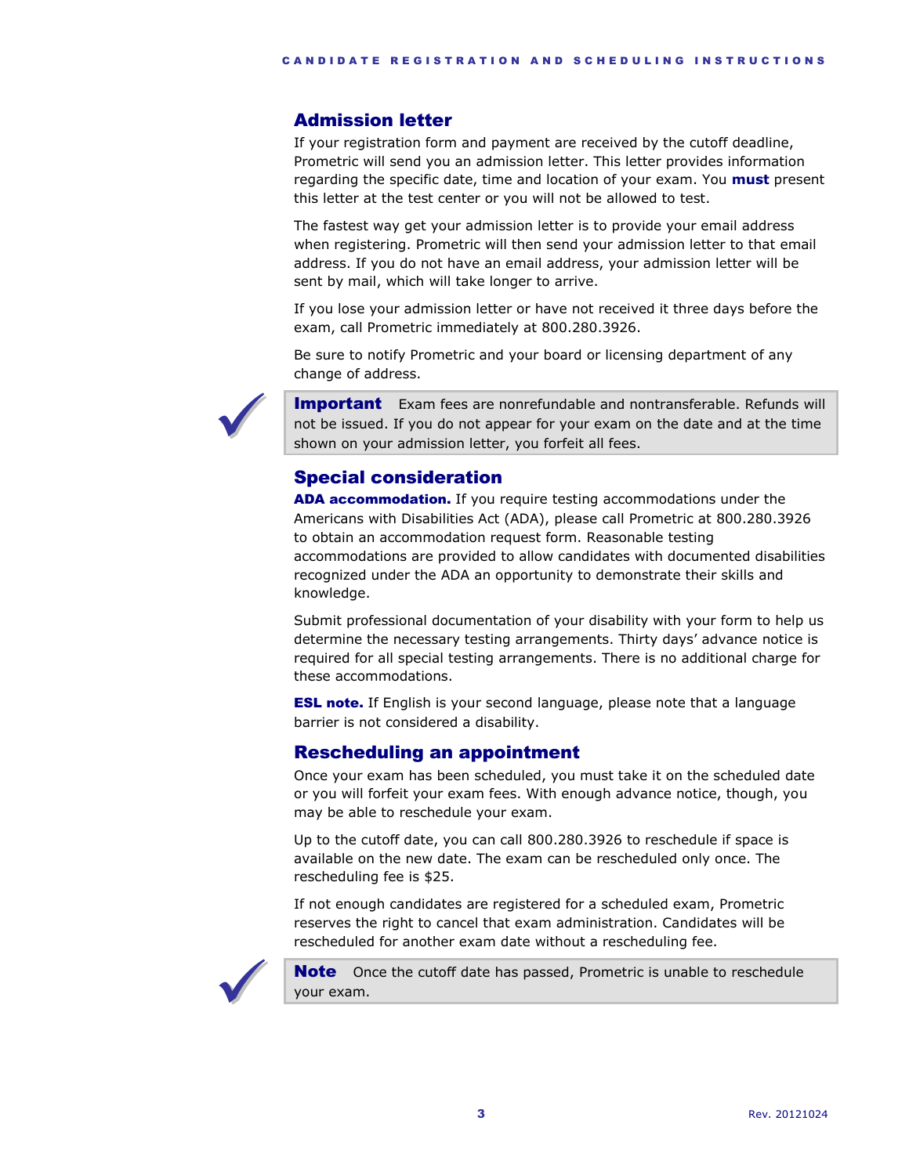# <span id="page-2-0"></span>Admission letter

If your registration form and payment are received by the cutoff deadline, Prometric will send you an admission letter. This letter provides information regarding the specific date, time and location of your exam. You **must** present this letter at the test center or you will not be allowed to test.

The fastest way get your admission letter is to provide your email address when registering. Prometric will then send your admission letter to that email address. If you do not have an email address, your admission letter will be sent by mail, which will take longer to arrive.

If you lose your admission letter or have not received it three days before the exam, call Prometric immediately at 800.280.3926.

Be sure to notify Prometric and your board or licensing department of any change of address.



**Important** Exam fees are nonrefundable and nontransferable. Refunds will not be issued. If you do not appear for your exam on the date and at the time shown on your admission letter, you forfeit all fees.

# Special consideration

ADA accommodation. If you require testing accommodations under the Americans with Disabilities Act (ADA), please call Prometric at 800.280.3926 to obtain an accommodation request form. Reasonable testing accommodations are provided to allow candidates with documented disabilities recognized under the ADA an opportunity to demonstrate their skills and knowledge.

Submit professional documentation of your disability with your form to help us determine the necessary testing arrangements. Thirty days' advance notice is required for all special testing arrangements. There is no additional charge for these accommodations.

**ESL note.** If English is your second language, please note that a language barrier is not considered a disability.

# Rescheduling an appointment

Once your exam has been scheduled, you must take it on the scheduled date or you will forfeit your exam fees. With enough advance notice, though, you may be able to reschedule your exam.

Up to the cutoff date, you can call 800.280.3926 to reschedule if space is available on the new date. The exam can be rescheduled only once. The rescheduling fee is \$25.

If not enough candidates are registered for a scheduled exam, Prometric reserves the right to cancel that exam administration. Candidates will be rescheduled for another exam date without a rescheduling fee.



Note Once the cutoff date has passed, Prometric is unable to reschedule your exam.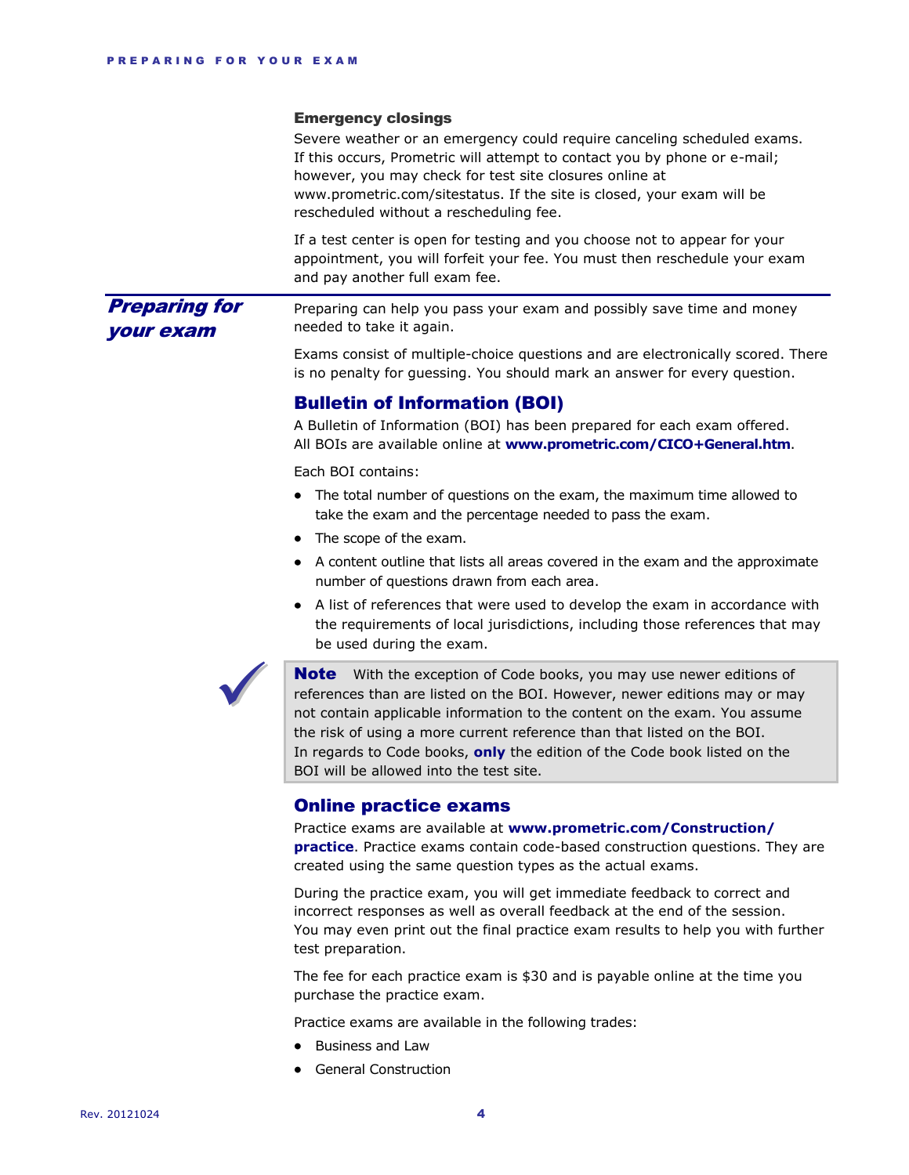#### Emergency closings

Severe weather or an emergency could require canceling scheduled exams. If this occurs, Prometric will attempt to contact you by phone or e-mail; however, you may check for test site closures online at www.prometric.com/sitestatus. If the site is closed, your exam will be rescheduled without a rescheduling fee.

If a test center is open for testing and you choose not to appear for your appointment, you will forfeit your fee. You must then reschedule your exam and pay another full exam fee.

Preparing can help you pass your exam and possibly save time and money needed to take it again. Preparing for your exam

> Exams consist of multiple-choice questions and are electronically scored. There is no penalty for guessing. You should mark an answer for every question.

## Bulletin of Information (BOI)

A Bulletin of Information (BOI) has been prepared for each exam offered. All BOIs are available online at **www.prometric.com/CICO+General.htm**.

Each BOI contains:

- The total number of questions on the exam, the maximum time allowed to take the exam and the percentage needed to pass the exam.
- The scope of the exam.
- A content outline that lists all areas covered in the exam and the approximate number of questions drawn from each area.
- A list of references that were used to develop the exam in accordance with the requirements of local jurisdictions, including those references that may be used during the exam.



**Note** With the exception of Code books, you may use newer editions of references than are listed on the BOI. However, newer editions may or may not contain applicable information to the content on the exam. You assume the risk of using a more current reference than that listed on the BOI. In regards to Code books, **only** the edition of the Code book listed on the BOI will be allowed into the test site.

## Online practice exams

Practice exams are available at **www.prometric.com/Construction/ practice**. Practice exams contain code-based construction questions. They are created using the same question types as the actual exams.

During the practice exam, you will get immediate feedback to correct and incorrect responses as well as overall feedback at the end of the session. You may even print out the final practice exam results to help you with further test preparation.

The fee for each practice exam is \$30 and is payable online at the time you purchase the practice exam.

Practice exams are available in the following trades:

- Business and Law
- General Construction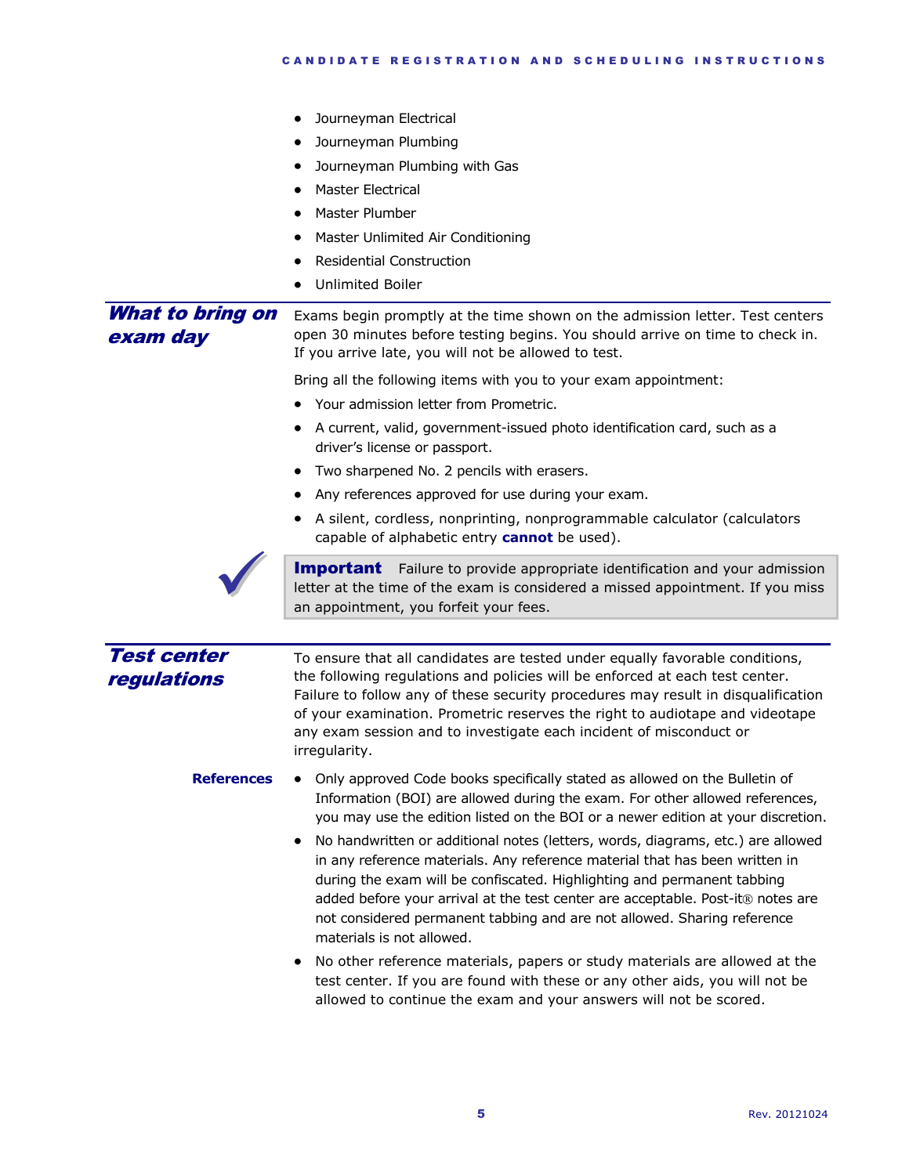<span id="page-4-0"></span>

|                                   | Journeyman Electrical<br>Journeyman Plumbing<br>Journeyman Plumbing with Gas<br><b>Master Electrical</b><br>Master Plumber<br>Master Unlimited Air Conditioning<br><b>Residential Construction</b><br><b>Unlimited Boiler</b>                                                                                                                                                                                                        |
|-----------------------------------|--------------------------------------------------------------------------------------------------------------------------------------------------------------------------------------------------------------------------------------------------------------------------------------------------------------------------------------------------------------------------------------------------------------------------------------|
| What to bring on<br>exam day      | Exams begin promptly at the time shown on the admission letter. Test centers<br>open 30 minutes before testing begins. You should arrive on time to check in.<br>If you arrive late, you will not be allowed to test.                                                                                                                                                                                                                |
|                                   | Bring all the following items with you to your exam appointment:<br>Your admission letter from Prometric.                                                                                                                                                                                                                                                                                                                            |
|                                   | A current, valid, government-issued photo identification card, such as a<br>driver's license or passport.                                                                                                                                                                                                                                                                                                                            |
|                                   | Two sharpened No. 2 pencils with erasers.                                                                                                                                                                                                                                                                                                                                                                                            |
|                                   | Any references approved for use during your exam.                                                                                                                                                                                                                                                                                                                                                                                    |
|                                   | A silent, cordless, nonprinting, nonprogrammable calculator (calculators<br>capable of alphabetic entry <b>cannot</b> be used).                                                                                                                                                                                                                                                                                                      |
|                                   | <b>Important</b> Failure to provide appropriate identification and your admission<br>letter at the time of the exam is considered a missed appointment. If you miss<br>an appointment, you forfeit your fees.                                                                                                                                                                                                                        |
|                                   |                                                                                                                                                                                                                                                                                                                                                                                                                                      |
| <b>Test center</b><br>regulations | To ensure that all candidates are tested under equally favorable conditions,<br>the following regulations and policies will be enforced at each test center.<br>Failure to follow any of these security procedures may result in disqualification<br>of your examination. Prometric reserves the right to audiotape and videotape<br>any exam session and to investigate each incident of misconduct or<br>irregularity.             |
| <b>References</b>                 | Only approved Code books specifically stated as allowed on the Bulletin of<br>Information (BOI) are allowed during the exam. For other allowed references,<br>you may use the edition listed on the BOI or a newer edition at your discretion.                                                                                                                                                                                       |
|                                   | No handwritten or additional notes (letters, words, diagrams, etc.) are allowed<br>in any reference materials. Any reference material that has been written in<br>during the exam will be confiscated. Highlighting and permanent tabbing<br>added before your arrival at the test center are acceptable. Post-it® notes are<br>not considered permanent tabbing and are not allowed. Sharing reference<br>materials is not allowed. |
|                                   | No other reference materials, papers or study materials are allowed at the<br>test center. If you are found with these or any other aids, you will not be<br>allowed to continue the exam and your answers will not be scored.                                                                                                                                                                                                       |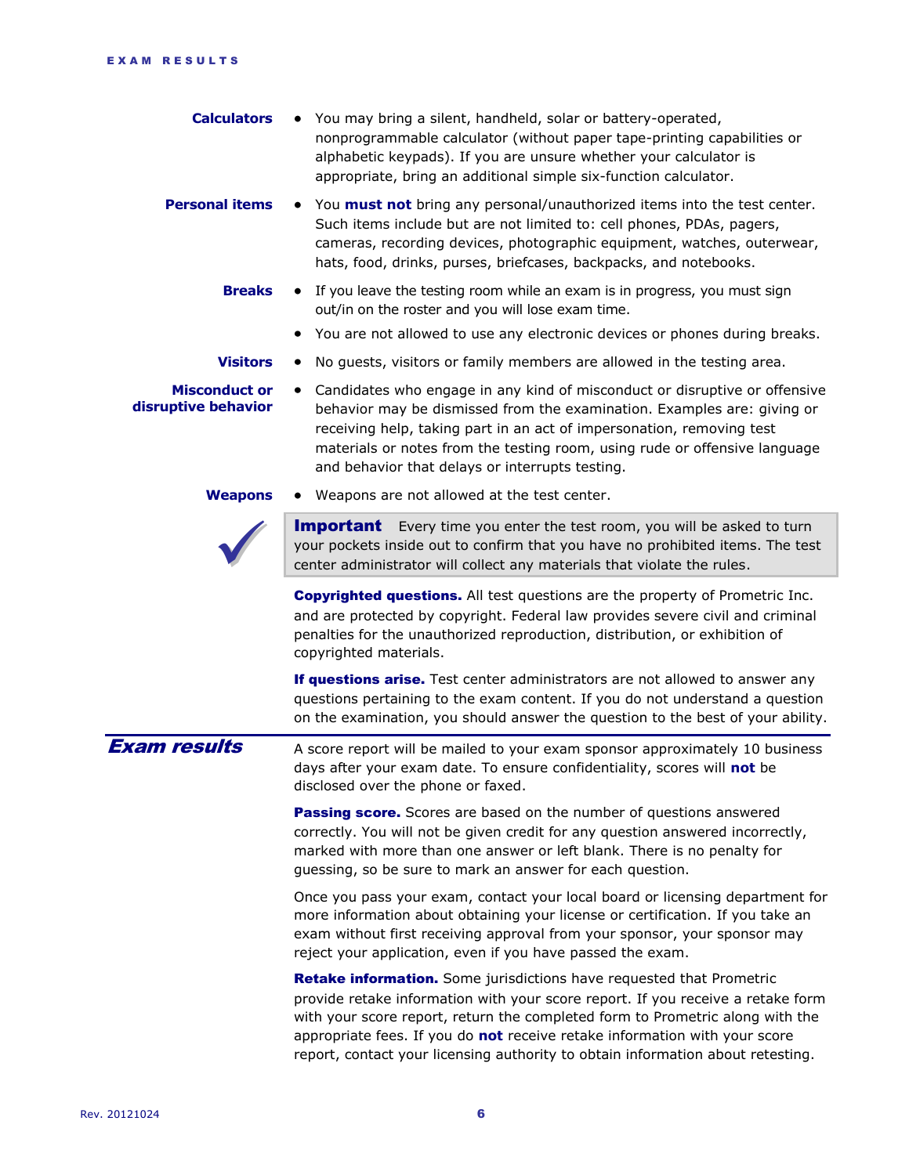<span id="page-5-0"></span>

| <b>Calculators</b>                          | You may bring a silent, handheld, solar or battery-operated,<br>nonprogrammable calculator (without paper tape-printing capabilities or<br>alphabetic keypads). If you are unsure whether your calculator is<br>appropriate, bring an additional simple six-function calculator.                                                                                             |
|---------------------------------------------|------------------------------------------------------------------------------------------------------------------------------------------------------------------------------------------------------------------------------------------------------------------------------------------------------------------------------------------------------------------------------|
| <b>Personal items</b>                       | • You must not bring any personal/unauthorized items into the test center.<br>Such items include but are not limited to: cell phones, PDAs, pagers,<br>cameras, recording devices, photographic equipment, watches, outerwear,<br>hats, food, drinks, purses, briefcases, backpacks, and notebooks.                                                                          |
| <b>Breaks</b>                               | If you leave the testing room while an exam is in progress, you must sign<br>$\bullet$<br>out/in on the roster and you will lose exam time.                                                                                                                                                                                                                                  |
|                                             | You are not allowed to use any electronic devices or phones during breaks.                                                                                                                                                                                                                                                                                                   |
| <b>Visitors</b>                             | No guests, visitors or family members are allowed in the testing area.                                                                                                                                                                                                                                                                                                       |
| <b>Misconduct or</b><br>disruptive behavior | Candidates who engage in any kind of misconduct or disruptive or offensive<br>$\bullet$<br>behavior may be dismissed from the examination. Examples are: giving or<br>receiving help, taking part in an act of impersonation, removing test<br>materials or notes from the testing room, using rude or offensive language<br>and behavior that delays or interrupts testing. |
| <b>Weapons</b>                              | Weapons are not allowed at the test center.                                                                                                                                                                                                                                                                                                                                  |
|                                             | <b>Important</b> Every time you enter the test room, you will be asked to turn<br>your pockets inside out to confirm that you have no prohibited items. The test<br>center administrator will collect any materials that violate the rules.                                                                                                                                  |
|                                             |                                                                                                                                                                                                                                                                                                                                                                              |
|                                             | <b>Copyrighted questions.</b> All test questions are the property of Prometric Inc.<br>and are protected by copyright. Federal law provides severe civil and criminal<br>penalties for the unauthorized reproduction, distribution, or exhibition of<br>copyrighted materials.                                                                                               |
|                                             | If questions arise. Test center administrators are not allowed to answer any<br>questions pertaining to the exam content. If you do not understand a question<br>on the examination, you should answer the question to the best of your ability.                                                                                                                             |
| <b>Exam results</b>                         | A score report will be mailed to your exam sponsor approximately 10 business<br>days after your exam date. To ensure confidentiality, scores will not be<br>disclosed over the phone or faxed.                                                                                                                                                                               |
|                                             | Passing score. Scores are based on the number of questions answered<br>correctly. You will not be given credit for any question answered incorrectly,<br>marked with more than one answer or left blank. There is no penalty for<br>guessing, so be sure to mark an answer for each question.                                                                                |
|                                             | Once you pass your exam, contact your local board or licensing department for<br>more information about obtaining your license or certification. If you take an<br>exam without first receiving approval from your sponsor, your sponsor may<br>reject your application, even if you have passed the exam.                                                                   |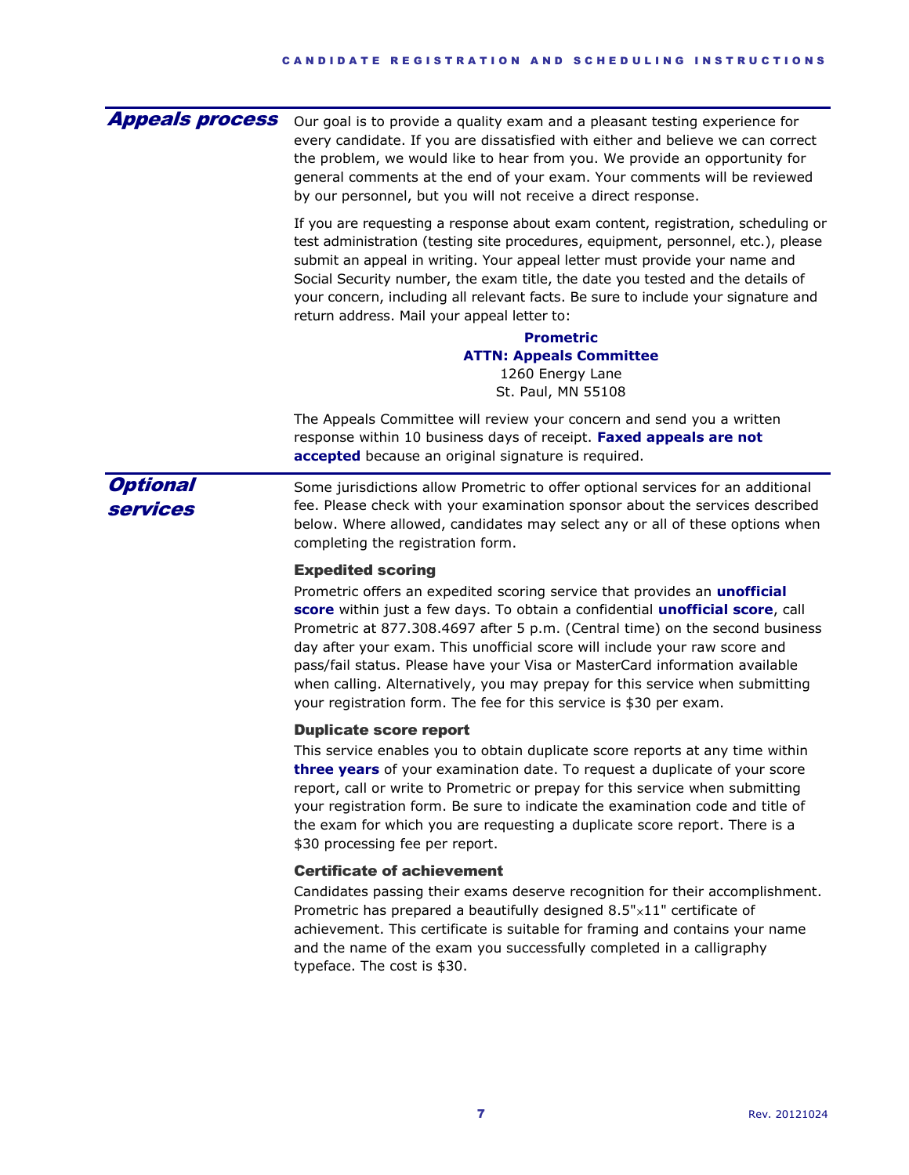| <b>Appeals process</b>      | Our goal is to provide a quality exam and a pleasant testing experience for<br>every candidate. If you are dissatisfied with either and believe we can correct<br>the problem, we would like to hear from you. We provide an opportunity for<br>general comments at the end of your exam. Your comments will be reviewed<br>by our personnel, but you will not receive a direct response.                                                                                                                                                                                                        |  |  |  |
|-----------------------------|--------------------------------------------------------------------------------------------------------------------------------------------------------------------------------------------------------------------------------------------------------------------------------------------------------------------------------------------------------------------------------------------------------------------------------------------------------------------------------------------------------------------------------------------------------------------------------------------------|--|--|--|
|                             | If you are requesting a response about exam content, registration, scheduling or<br>test administration (testing site procedures, equipment, personnel, etc.), please<br>submit an appeal in writing. Your appeal letter must provide your name and<br>Social Security number, the exam title, the date you tested and the details of<br>your concern, including all relevant facts. Be sure to include your signature and<br>return address. Mail your appeal letter to:<br>Prometric<br><b>ATTN: Appeals Committee</b><br>1260 Energy Lane<br>St. Paul, MN 55108                               |  |  |  |
|                             | The Appeals Committee will review your concern and send you a written<br>response within 10 business days of receipt. Faxed appeals are not<br>accepted because an original signature is required.                                                                                                                                                                                                                                                                                                                                                                                               |  |  |  |
| <b>Optional</b><br>services | Some jurisdictions allow Prometric to offer optional services for an additional<br>fee. Please check with your examination sponsor about the services described<br>below. Where allowed, candidates may select any or all of these options when<br>completing the registration form.                                                                                                                                                                                                                                                                                                             |  |  |  |
|                             | <b>Expedited scoring</b><br>Prometric offers an expedited scoring service that provides an <i>unofficial</i><br>score within just a few days. To obtain a confidential unofficial score, call<br>Prometric at 877.308.4697 after 5 p.m. (Central time) on the second business<br>day after your exam. This unofficial score will include your raw score and<br>pass/fail status. Please have your Visa or MasterCard information available<br>when calling. Alternatively, you may prepay for this service when submitting<br>your registration form. The fee for this service is \$30 per exam. |  |  |  |
|                             | <b>Duplicate score report</b><br>This service enables you to obtain duplicate score reports at any time within<br>three years of your examination date. To request a duplicate of your score<br>report, call or write to Prometric or prepay for this service when submitting<br>your registration form. Be sure to indicate the examination code and title of<br>the exam for which you are requesting a duplicate score report. There is a<br>\$30 processing fee per report.                                                                                                                  |  |  |  |
|                             | <b>Certificate of achievement</b><br>Candidates passing their exams deserve recognition for their accomplishment.<br>Prometric has prepared a beautifully designed $8.5" \times 11"$ certificate of<br>achievement. This certificate is suitable for framing and contains your name<br>and the name of the exam you successfully completed in a calligraphy                                                                                                                                                                                                                                      |  |  |  |

typeface. The cost is \$30.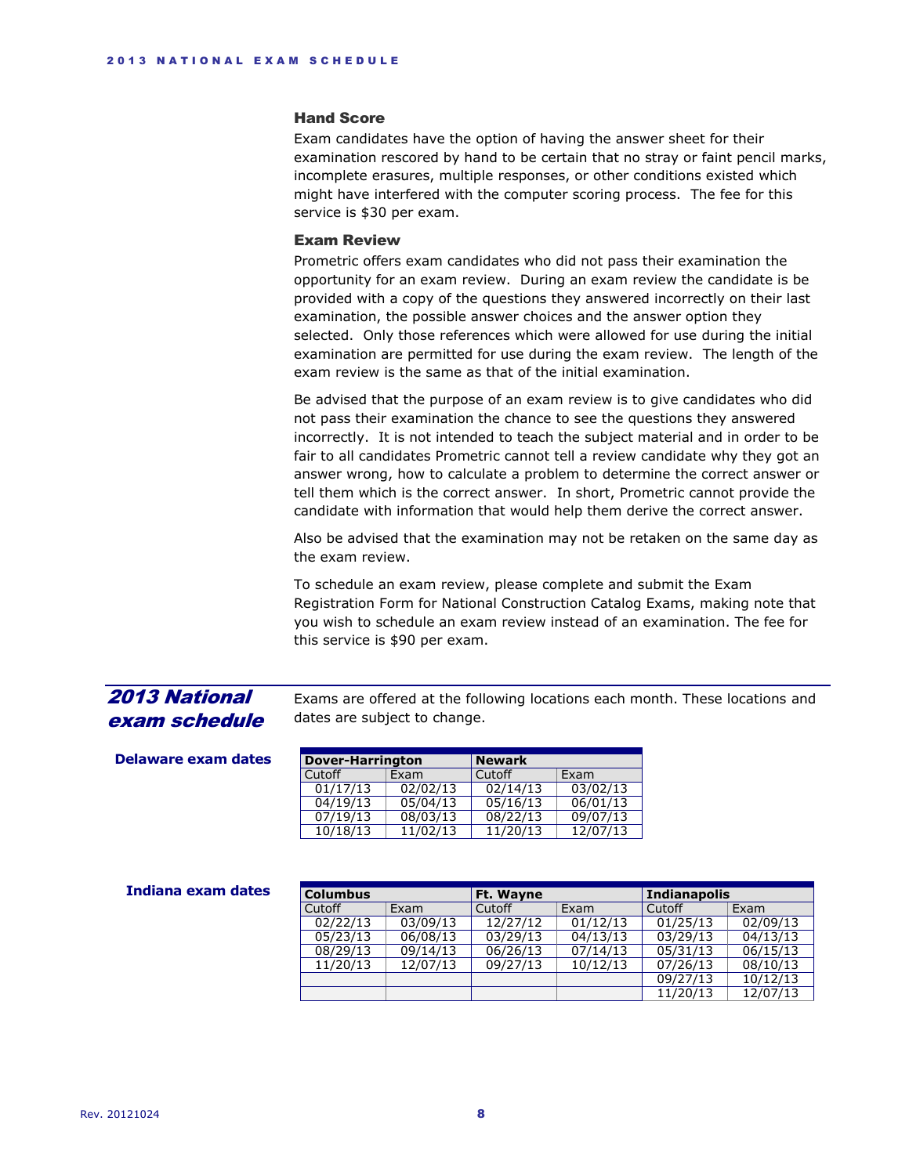#### Hand Score

Exam candidates have the option of having the answer sheet for their examination rescored by hand to be certain that no stray or faint pencil marks, incomplete erasures, multiple responses, or other conditions existed which might have interfered with the computer scoring process. The fee for this service is \$30 per exam.

## Exam Review

Prometric offers exam candidates who did not pass their examination the opportunity for an exam review. During an exam review the candidate is be provided with a copy of the questions they answered incorrectly on their last examination, the possible answer choices and the answer option they selected. Only those references which were allowed for use during the initial examination are permitted for use during the exam review. The length of the exam review is the same as that of the initial examination.

Be advised that the purpose of an exam review is to give candidates who did not pass their examination the chance to see the questions they answered incorrectly. It is not intended to teach the subject material and in order to be fair to all candidates Prometric cannot tell a review candidate why they got an answer wrong, how to calculate a problem to determine the correct answer or tell them which is the correct answer. In short, Prometric cannot provide the candidate with information that would help them derive the correct answer.

Also be advised that the examination may not be retaken on the same day as the exam review.

To schedule an exam review, please complete and submit the Exam Registration Form for National Construction Catalog Exams, making note that you wish to schedule an exam review instead of an examination. The fee for this service is \$90 per exam.

# <span id="page-7-0"></span>2013 National exam schedule

Exams are offered at the following locations each month. These locations and dates are subject to change.

| <b>Dover-Harrington</b> |          | <b>Newark</b>         |          |
|-------------------------|----------|-----------------------|----------|
| Cutoff                  | Exam     | Cutoff                | Exam     |
| 01/17/13                | 02/02/13 | 02/14/13              | 03/02/13 |
| 04/19/13                | 05/04/13 | 05/16/13              | 06/01/13 |
| 07/19/13                | 08/03/13 | 08/22/13              | 09/07/13 |
| 10/18/13                | 11/02/13 | $\overline{11}/20/13$ | 12/07/13 |

| Indiana exam dates | <b>Columbus</b> |          | Ft. Wayne |          | <b>Indianapolis</b> |          |
|--------------------|-----------------|----------|-----------|----------|---------------------|----------|
|                    | Cutoff          | Exam     | Cutoff    | Exam     | Cutoff              | Exam     |
|                    | 02/22/13        | 03/09/13 | 12/27/12  | 01/12/13 | 01/25/13            | 02/09/13 |
|                    | 05/23/13        | 06/08/13 | 03/29/13  | 04/13/13 | 03/29/13            | 04/13/13 |
|                    | 08/29/13        | 09/14/13 | 06/26/13  | 07/14/13 | 05/31/13            | 06/15/13 |
|                    | 11/20/13        | 12/07/13 | 09/27/13  | 10/12/13 | 07/26/13            | 08/10/13 |
|                    |                 |          |           |          | 09/27/13            | 10/12/13 |
|                    |                 |          |           |          | 11/20/13            | 12/07/13 |

# **Delaware exam dates**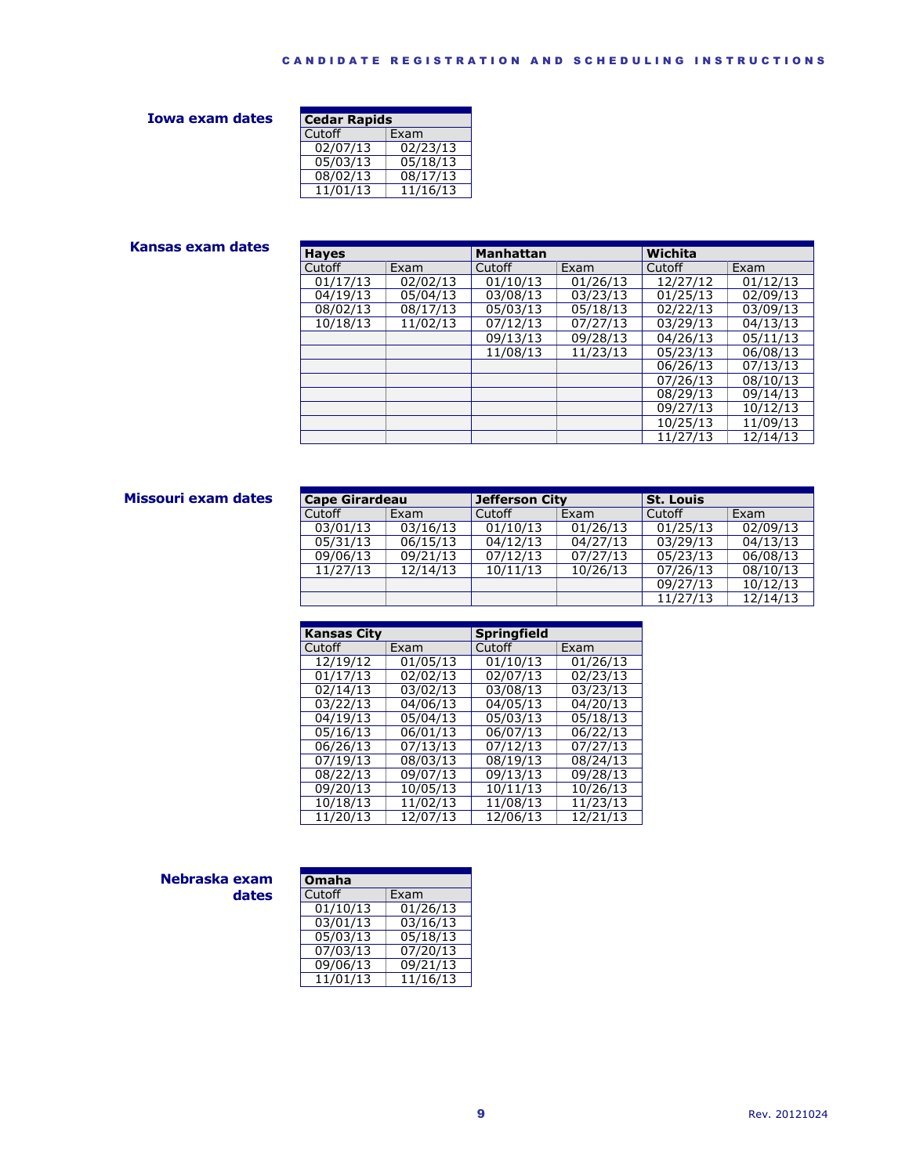## **Iowa exam dates**

| <b>Cedar Rapids</b> |          |  |  |
|---------------------|----------|--|--|
| Cutoff              | Exam     |  |  |
| 02/07/13            | 02/23/13 |  |  |
| 05/03/13            | 05/18/13 |  |  |
| 08/02/13            | 08/17/13 |  |  |
| 11/01/13            | 11/16/13 |  |  |

## **Kansas exam dates**

| <b>Hayes</b> |          | <b>Manhattan</b> |          | Wichita  |          |
|--------------|----------|------------------|----------|----------|----------|
| Cutoff       | Exam     | Cutoff           | Exam     | Cutoff   | Exam     |
| 01/17/13     | 02/02/13 | 01/10/13         | 01/26/13 | 12/27/12 | 01/12/13 |
| 04/19/13     | 05/04/13 | 03/08/13         | 03/23/13 | 01/25/13 | 02/09/13 |
| 08/02/13     | 08/17/13 | 05/03/13         | 05/18/13 | 02/22/13 | 03/09/13 |
| 10/18/13     | 11/02/13 | 07/12/13         | 07/27/13 | 03/29/13 | 04/13/13 |
|              |          | 09/13/13         | 09/28/13 | 04/26/13 | 05/11/13 |
|              |          | 11/08/13         | 11/23/13 | 05/23/13 | 06/08/13 |
|              |          |                  |          | 06/26/13 | 07/13/13 |
|              |          |                  |          | 07/26/13 | 08/10/13 |
|              |          |                  |          | 08/29/13 | 09/14/13 |
|              |          |                  |          | 09/27/13 | 10/12/13 |
|              |          |                  |          | 10/25/13 | 11/09/13 |
|              |          |                  |          | 11/27/13 | 12/14/13 |

## **Missouri exam dates**

| <b>Cape Girardeau</b> |          | Jefferson City |          | <b>St. Louis</b> |          |
|-----------------------|----------|----------------|----------|------------------|----------|
| Cutoff                | Exam     | Cutoff         | Exam     | Cutoff           | Exam     |
| 03/01/13              | 03/16/13 | 01/10/13       | 01/26/13 | 01/25/13         | 02/09/13 |
| 05/31/13              | 06/15/13 | 04/12/13       | 04/27/13 | 03/29/13         | 04/13/13 |
| 09/06/13              | 09/21/13 | 07/12/13       | 07/27/13 | 05/23/13         | 06/08/13 |
| 11/27/13              | 12/14/13 | 10/11/13       | 10/26/13 | 07/26/13         | 08/10/13 |
|                       |          |                |          | 09/27/13         | 10/12/13 |
|                       |          |                |          | 11/27/13         | 12/14/13 |

| <b>Kansas City</b> |          | <b>Springfield</b> |          |
|--------------------|----------|--------------------|----------|
| Cutoff             | Exam     | Cutoff             | Exam     |
| 12/19/12           | 01/05/13 | 01/10/13           | 01/26/13 |
| 01/17/13           | 02/02/13 | 02/07/13           | 02/23/13 |
| 02/14/13           | 03/02/13 | 03/08/13           | 03/23/13 |
| 03/22/13           | 04/06/13 | 04/05/13           | 04/20/13 |
| 04/19/13           | 05/04/13 | 05/03/13           | 05/18/13 |
| 05/16/13           | 06/01/13 | 06/07/13           | 06/22/13 |
| 06/26/13           | 07/13/13 | 07/12/13           | 07/27/13 |
| 07/19/13           | 08/03/13 | 08/19/13           | 08/24/13 |
| 08/22/13           | 09/07/13 | 09/13/13           | 09/28/13 |
| 09/20/13           | 10/05/13 | 10/11/13           | 10/26/13 |
| 10/18/13           | 11/02/13 | 11/08/13           | 11/23/13 |
| 11/20/13           | 12/07/13 | 12/06/13           | 12/21/13 |

#### **Nebraska exam dates**

| Omaha    |          |
|----------|----------|
| Cutoff   | Exam     |
| 01/10/13 | 01/26/13 |
| 03/01/13 | 03/16/13 |
| 05/03/13 | 05/18/13 |
| 07/03/13 | 07/20/13 |
| 09/06/13 | 09/21/13 |
| 11/01/13 | 11/16/13 |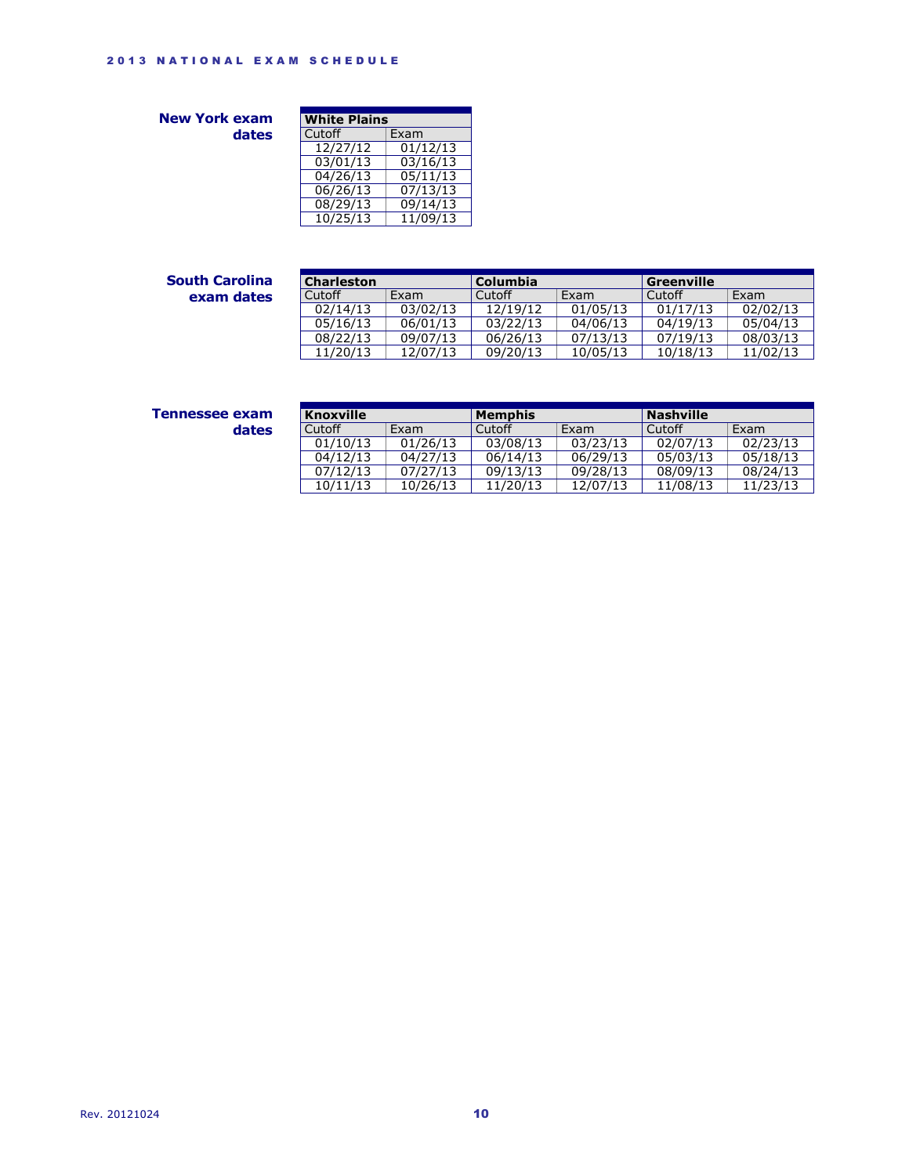**New York exam dates**

| <b>White Plains</b> |          |  |
|---------------------|----------|--|
| Cutoff              | Exam     |  |
| 12/27/12            | 01/12/13 |  |
| 03/01/13            | 03/16/13 |  |
| 04/26/13            | 05/11/13 |  |
| 06/26/13            | 07/13/13 |  |
| 08/29/13            | 09/14/13 |  |
| 10/25/13            | 11/09/13 |  |

## **South Carolina exam dates**

| <b>Charleston</b> |          | <b>Columbia</b> |          | Greenville |          |
|-------------------|----------|-----------------|----------|------------|----------|
|                   |          |                 |          |            |          |
| Cutoff            | Exam     | Cutoff          | Exam     | Cutoff     | Exam     |
| 02/14/13          | 03/02/13 | 12/19/12        | 01/05/13 | 01/17/13   | 02/02/13 |
| 05/16/13          | 06/01/13 | 03/22/13        | 04/06/13 | 04/19/13   | 05/04/13 |
| 08/22/13          | 09/07/13 | 06/26/13        | 07/13/13 | 07/19/13   | 08/03/13 |
| 11/20/13          | 12/07/13 | 09/20/13        | 10/05/13 | 10/18/13   | 11/02/13 |

| Tennessee exam |       |
|----------------|-------|
|                | dates |

| <b>Knoxville</b> |          | Memphis  |          | <b>Nashville</b> |          |
|------------------|----------|----------|----------|------------------|----------|
| Cutoff           | Exam     | Cutoff   | Exam     | Cutoff           | Exam     |
| 01/10/13         | 01/26/13 | 03/08/13 | 03/23/13 | 02/07/13         | 02/23/13 |
| 04/12/13         | 04/27/13 | 06/14/13 | 06/29/13 | 05/03/13         | 05/18/13 |
| 07/12/13         | 07/27/13 | 09/13/13 | 09/28/13 | 08/09/13         | 08/24/13 |
| 10/11/13         | 10/26/13 | 11/20/13 | 12/07/13 | 11/08/13         | 11/23/13 |